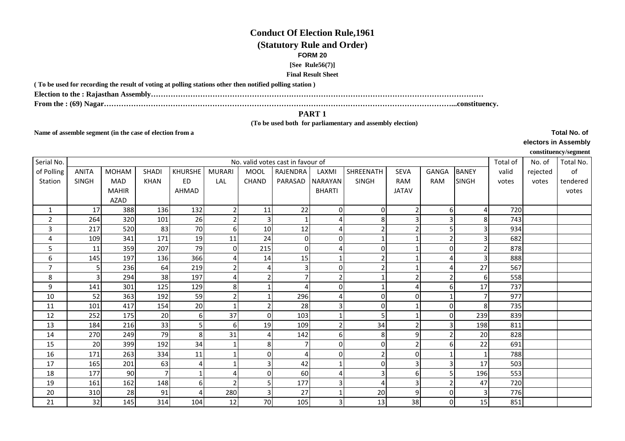## **Conduct Of Election Rule,1961**

# **(Statutory Rule and Order)**

### **FORM 20**

#### **[See Rule56(7)]**

#### **Final Result Sheet**

**( To be used for recording the result of voting at polling stations other then notified polling station )**

**Election to the : Rajasthan Assembly………………………………………………………………………………………………………………………**

**From the : (69) Nagar……………………………………………………………………………………………………………………………...constituency.**

### **PART 1**

 **(To be used both for parliamentary and assembly election)** 

**Name of assemble segment (in the case of election from a** 

**Total No. of electors in Assembly**

**constituency/segment**

| Serial No.     | No. valid votes cast in favour of |              |              |                |                          |                |                         |                |              |                |                |                |       | No. of   | Total No. |
|----------------|-----------------------------------|--------------|--------------|----------------|--------------------------|----------------|-------------------------|----------------|--------------|----------------|----------------|----------------|-------|----------|-----------|
| of Polling     | <b>ANITA</b>                      | <b>MOHAM</b> | <b>SHADI</b> | <b>KHURSHE</b> | <b>MURARI</b>            | <b>MOOL</b>    | RAJENDRA                | LAXMI          | SHREENATH    | <b>SEVA</b>    | <b>GANGA</b>   | <b>BANEY</b>   | valid | rejected | of        |
| Station        | <b>SINGH</b>                      | MAD          | <b>KHAN</b>  | <b>ED</b>      | LAL                      | <b>CHAND</b>   | PARASAD                 | NARAYAN        | <b>SINGH</b> | <b>RAM</b>     | RAM            | <b>SINGH</b>   | votes | votes    | tendered  |
|                |                                   | <b>MAHIR</b> |              | AHMAD          |                          |                |                         | <b>BHARTI</b>  |              | <b>JATAV</b>   |                |                |       |          | votes     |
|                |                                   | AZAD         |              |                |                          |                |                         |                |              |                |                |                |       |          |           |
| 1              | 17                                | 388          | 136          | 132            | $\overline{\phantom{a}}$ | 11             | 22                      | $\Omega$       | $\Omega$     |                | 6              | Δ              | 720   |          |           |
| $\overline{2}$ | 264                               | 320          | 101          | 26             | $\overline{2}$           | 3              |                         |                | 8            | 3              | 3              | 8              | 743   |          |           |
| 3              | 217                               | 520          | 83           | 70             | $6 \mid$                 | 10             | 12                      |                |              |                | 5              | 3              | 934   |          |           |
| 4              | 109                               | 341          | 171          | 19             | 11                       | 24             | $\overline{0}$          | $\overline{0}$ |              |                | 2              | 3              | 682   |          |           |
| 5              | 11                                | 359          | 207          | 79             | 0                        | 215            | $\Omega$                |                | $\Omega$     |                | 0              | $\overline{2}$ | 878   |          |           |
| 6              | 145                               | 197          | 136          | 366            |                          | 14             | 15                      |                |              |                | 4              | $\overline{3}$ | 888   |          |           |
| 7              | 5                                 | 236          | 64           | 219            | $\overline{2}$           |                | $\overline{\mathbf{3}}$ | $\overline{0}$ |              |                | 4              | 27             | 567   |          |           |
| 8              | 3                                 | 294          | 38           | 197            | 4                        | $\overline{2}$ | $\overline{7}$          | 2              |              |                | $\overline{2}$ | $6 \mid$       | 558   |          |           |
| 9              | 141                               | 301          | 125          | 129            | 8                        |                | $\overline{a}$          | $\Omega$       |              |                | 6              | 17             | 737   |          |           |
| 10             | 52                                | 363          | 192          | 59             | $\overline{2}$           |                | 296                     |                |              |                |                | $\overline{7}$ | 977   |          |           |
| 11             | 101                               | 417          | 154          | 20             |                          |                | 28                      | 3              | $\Omega$     |                | $\overline{0}$ | 8              | 735   |          |           |
| 12             | 252                               | 175          | 20           | 6              | 37                       | $\Omega$       | 103                     |                |              |                | 0              | 239            | 839   |          |           |
| 13             | 184                               | 216          | 33           | 5 <sup>1</sup> | 6                        | 19             | 109                     | 2              | 34           | 2              | 3              | 198            | 811   |          |           |
| 14             | 270                               | 249          | 79           | 8              | 31                       |                | 142                     | 6              | 8            | 9              | $\overline{2}$ | 20             | 828   |          |           |
| 15             | 20                                | 399          | 192          | 34             |                          | 8              | $\overline{7}$          | 0              | $\Omega$     | 2              | 6              | 22             | 691   |          |           |
| 16             | 171                               | 263          | 334          | 11             |                          | 0              | $\overline{a}$          | 0              |              | $\overline{0}$ |                | $\mathbf{1}$   | 788   |          |           |
| 17             | 165                               | 201          | 63           |                |                          |                | 42                      |                | $\Omega$     | 3              | 3              | 17             | 503   |          |           |
| 18             | 177                               | 90           |              |                | 4                        | $\Omega$       | 60                      |                |              | 6              | 5              | 196            | 553   |          |           |
| 19             | 161                               | 162          | 148          | $6 \mid$       | $\overline{\phantom{a}}$ | 5              | 177                     | 3              |              | 3              | $\overline{2}$ | 47             | 720   |          |           |
| 20             | 310                               | 28           | 91           |                | 280                      | 3              | 27                      |                | 20           | 9              | 0              | $\mathbf{3}$   | 776   |          |           |
| 21             | 32                                | 145          | 314          | 104            | 12                       | 70             | 105                     | $\overline{3}$ | 13           | 38             | $\overline{0}$ | 15             | 851   |          |           |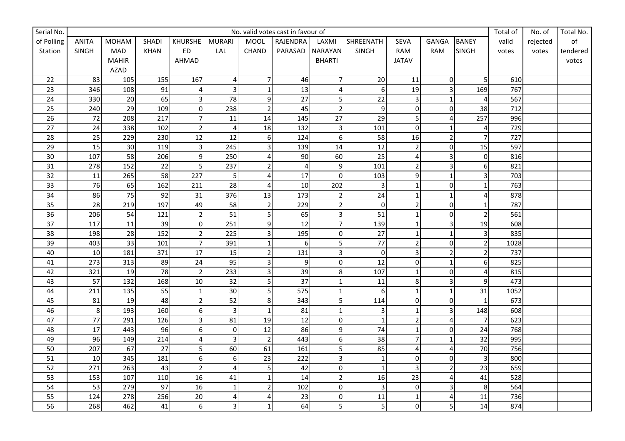| Serial No.      |                | No. valid votes cast in favour of |              |                |                         |                         |                |                  |                |                  |                         |                         | Total of | No. of   | Total No. |
|-----------------|----------------|-----------------------------------|--------------|----------------|-------------------------|-------------------------|----------------|------------------|----------------|------------------|-------------------------|-------------------------|----------|----------|-----------|
| of Polling      | <b>ANITA</b>   | <b>MOHAM</b>                      | <b>SHADI</b> | KHURSHE        | <b>MURARI</b>           | <b>MOOL</b>             | RAJENDRA       | LAXMI            | SHREENATH      | <b>SEVA</b>      | GANGA                   | <b>BANEY</b>            | valid    | rejected | of        |
| Station         | SINGH          | MAD                               | KHAN         | ED             | LAL                     | CHAND                   | PARASAD        | NARAYAN          | SINGH          | RAM              | RAM                     | <b>SINGH</b>            | votes    | votes    | tendered  |
|                 |                | <b>MAHIR</b>                      |              | AHMAD          |                         |                         |                | <b>BHARTI</b>    |                | <b>JATAV</b>     |                         |                         |          |          | votes     |
|                 |                | AZAD                              |              |                |                         |                         |                |                  |                |                  |                         |                         |          |          |           |
| 22              | 83             | 105                               | 155          | 167            | $\overline{4}$          | $\overline{7}$          | 46             | 7                | 20             | 11               | $\overline{0}$          | 5                       | 610      |          |           |
| 23              | 346            | 108                               | 91           | 4              | $\overline{3}$          | $\mathbf{1}$            | 13             | 4                | 6              | 19               | $\overline{\mathbf{3}}$ | 169                     | 767      |          |           |
| 24              | 330            | 20                                | 65           | $\overline{3}$ | 78                      | 9                       | 27             | 5                | 22             | $\overline{3}$   | $\mathbf{1}$            | $\overline{4}$          | 567      |          |           |
| 25              | 240            | 29                                | 109          | $\pmb{0}$      | 238                     | $\overline{2}$          | 45             | $\overline{2}$   | 9              | $\mathbf 0$      | $\overline{0}$          | 38                      | 712      |          |           |
| $\overline{26}$ | 72             | 208                               | 217          | $\overline{7}$ | 11                      | 14                      | 145            | $\overline{27}$  | 29             | 5                | $\overline{4}$          | 257                     | 996      |          |           |
| $27$            | 24             | 338                               | 102          | $\overline{2}$ | $\overline{4}$          | 18                      | 132            | $\overline{3}$   | 101            | $\mathbf 0$      | $\mathbf{1}$            | $\overline{4}$          | 729      |          |           |
| 28              | 25             | 229                               | 230          | 12             | 12                      | 6                       | 124            | 6                | 58             | 16               | $\overline{2}$          | $\overline{7}$          | 727      |          |           |
| 29              | 15             | 30                                | 119          | $\mathbf{3}$   | 245                     | 3                       | 139            | 14               | 12             | $\mathbf 2$      | $\pmb{0}$               | 15                      | 597      |          |           |
| $30\,$          | 107            | 58                                | 206          | 9              | 250                     | 4                       | 90             | 60               | 25             | 4                | 3                       | $\mathbf 0$             | 816      |          |           |
| $\overline{31}$ | 278            | 152                               | 22           | 5              | 237                     | $\overline{2}$          | $\overline{4}$ | $\boldsymbol{9}$ | 101            | $\overline{2}$   | $\overline{3}$          | 6                       | 821      |          |           |
| $\overline{32}$ | 11             | 265                               | 58           | 227            | 5 <sup>1</sup>          | $\overline{4}$          | 17             | $\overline{0}$   | 103            | $\boldsymbol{9}$ | $\mathbf 1$             | $\overline{3}$          | 703      |          |           |
| 33              | 76             | 65                                | 162          | 211            | $\overline{28}$         | $\Delta$                | 10             | 202              | 3              | $\mathbf{1}$     | $\overline{0}$          | $\overline{1}$          | 763      |          |           |
| 34              | 86             | 75                                | 92           | 31             | 376                     | 13                      | 173            | $\overline{2}$   | 24             | $\mathbf 1$      | $\mathbf{1}$            | $\overline{4}$          | 878      |          |           |
| 35              | 28             | 219                               | 197          | 49             | 58                      | $\overline{2}$          | 229            | $\overline{2}$   | $\overline{0}$ | $\mathbf 2$      | $\overline{0}$          | $\mathbf{1}$            | 787      |          |           |
| 36              | 206            | 54                                | 121          | $\overline{2}$ | 51                      | 5                       | 65             |                  | 51             | $\mathbf{1}$     | $\overline{0}$          | $\overline{2}$          | 561      |          |           |
| 37              | 117            | 11                                | 39           | $\pmb{0}$      | 251                     | 9                       | 12             | 7                | 139            | $\mathbf 1$      | $\overline{\mathbf{3}}$ | 19                      | 608      |          |           |
| 38              | 198            | 28                                | 152          | $\overline{2}$ | 225                     | $\overline{\mathbf{3}}$ | 195            | $\mathbf 0$      | 27             | $\mathbf 1$      | $\mathbf{1}$            | $\overline{\mathbf{3}}$ | 835      |          |           |
| 39              | 403            | 33                                | 101          | $\overline{7}$ | 391                     | $\mathbf{1}$            | 6              | 5                | 77             | $\mathbf 2$      | $\overline{0}$          | $\overline{2}$          | 1028     |          |           |
| 40              | 10             | 181                               | 371          | 17             | 15                      | $\overline{2}$          | 131            | 3                | $\overline{0}$ | 3                | $\overline{2}$          | $\overline{c}$          | 737      |          |           |
| 41              | 273            | 313                               | 89           | 24             | 95                      | 3                       | 9              | $\Omega$         | 12             | $\mathbf 0$      | $\mathbf{1}$            | 6                       | 825      |          |           |
| 42              | 321            | 19                                | 78           | $\overline{2}$ | 233                     | $\overline{\mathbf{3}}$ | 39             | 8                | 107            | $\mathbf 1$      | $\pmb{0}$               | $\overline{4}$          | 815      |          |           |
| 43              | 57             | 132                               | 168          | 10             | 32                      | 5                       | 37             | $\mathbf{1}$     | 11             | 8                | $\overline{\mathbf{3}}$ | 9                       | 473      |          |           |
| 44              | 211            | 135                               | 55           | $\mathbf{1}$   | 30                      | 5                       | 575            | $\mathbf{1}$     | 6              | $\mathbf{1}$     | $\mathbf{1}$            | 31                      | 1052     |          |           |
| 45              | 81             | 19                                | 48           | $\overline{2}$ | 52                      | 8                       | 343            | 5                | 114            | $\mathbf 0$      | $\mathbf 0$             | $\mathbf{1}$            | 673      |          |           |
| 46              | 8 <sup>°</sup> | 193                               | 160          | 6              | $\overline{\mathbf{3}}$ | $\mathbf{1}$            | 81             | $\mathbf{1}$     | 3              | $\mathbf 1$      | 3                       | 148                     | 608      |          |           |
| 47              | 77             | 291                               | 126          | 3              | 81                      | 19                      | 12             | $\mathbf 0$      | $\overline{1}$ | $\overline{c}$   | $\overline{\mathbf{4}}$ | $\overline{7}$          | 623      |          |           |
| 48              | 17             | 443                               | 96           | 6              | $\pmb{0}$               | 12                      | 86             | 9                | 74             | $\mathbf{1}$     | $\overline{0}$          | 24                      | 768      |          |           |
| 49              | 96             | 149                               | 214          | $\overline{4}$ | $\overline{3}$          | $\overline{2}$          | 443            | 6                | 38             | $\overline{7}$   | $\mathbf{1}$            | 32                      | 995      |          |           |
| 50              | 207            | 67                                | 27           | 5              | 60                      | 61                      | 161            | 5                | 85             | 4                | $\overline{\mathbf{4}}$ | 70                      | 756      |          |           |
| 51              | 10             | 345                               | 181          | 6              | $6\,$                   | 23                      | 222            | 3                |                | $\pmb{0}$        | $\pmb{0}$               | $\overline{\mathbf{3}}$ | 800      |          |           |
| 52              | 271            | 263                               | 43           | $\overline{2}$ | $\overline{4}$          | 5                       | 42             | $\mathbf 0$      |                | 3                | $\overline{2}$          | 23                      | 659      |          |           |
| 53              | 153            | 107                               | 110          | 16             | 41                      | $\mathbf{1}$            | 14             | $\overline{2}$   | 16             | $\overline{23}$  | $\overline{\mathbf{4}}$ | 41                      | 528      |          |           |
| 54              | 53             | 279                               | 97           | 16             | $\mathbf 1$             | $\overline{2}$          | 102            | $\pmb{0}$        | 3              | $\mathbf 0$      | 3                       | 8                       | 564      |          |           |
| 55              | 124            | 278                               | 256          | 20             | $\overline{\mathbf{4}}$ |                         | 23             | $\pmb{0}$        | 11             | $\mathbf{1}$     | 4                       | 11                      | 736      |          |           |
| 56              | 268            | 462                               | 41           | 6              | $\overline{3}$          | $\mathbf{1}$            | 64             | 5                | 5 <sup>1</sup> | $\mathbf 0$      | 5                       | 14                      | 874      |          |           |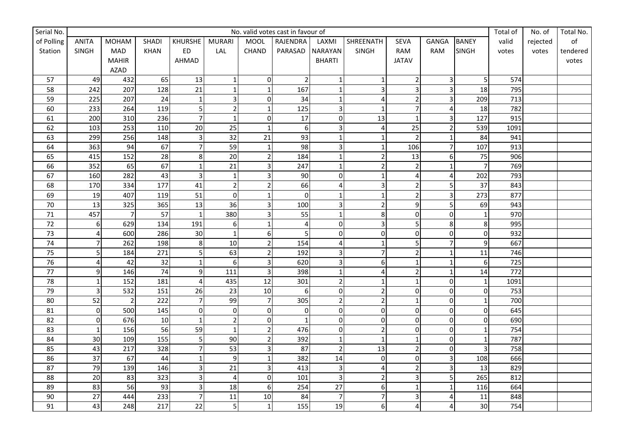| Serial No. |                | No. valid votes cast in favour of |              |                         |                  |                         |                |                  |                          |                         |                         |                  | Total of | No. of   | Total No. |
|------------|----------------|-----------------------------------|--------------|-------------------------|------------------|-------------------------|----------------|------------------|--------------------------|-------------------------|-------------------------|------------------|----------|----------|-----------|
| of Polling | <b>ANITA</b>   | <b>MOHAM</b>                      | <b>SHADI</b> | <b>KHURSHE</b>          | <b>MURARI</b>    | <b>MOOL</b>             | RAJENDRA       | LAXMI            | SHREENATH                | <b>SEVA</b>             | GANGA                   | <b>BANEY</b>     | valid    | rejected | of        |
| Station    | SINGH          | MAD                               | KHAN         | ED                      | LAL              | CHAND                   | PARASAD        | NARAYAN          | SINGH                    | RAM                     | RAM                     | <b>SINGH</b>     | votes    | votes    | tendered  |
|            |                | <b>MAHIR</b>                      |              | AHMAD                   |                  |                         |                | <b>BHARTI</b>    |                          | <b>JATAV</b>            |                         |                  |          |          | votes     |
|            |                | AZAD                              |              |                         |                  |                         |                |                  |                          |                         |                         |                  |          |          |           |
| 57         | 49             | 432                               | 65           | 13                      | $\mathbf 1$      | $\overline{0}$          | $\overline{2}$ | $\mathbf{1}$     |                          | $\overline{2}$          | $\overline{\mathbf{3}}$ | 5                | 574      |          |           |
| 58         | 242            | 207                               | 128          | 21                      | $\mathbf 1$      | $\overline{1}$          | 167            | $\mathbf{1}$     | 3                        | 3                       | $\overline{\mathbf{3}}$ | 18               | 795      |          |           |
| 59         | 225            | 207                               | 24           | $\mathbf{1}$            | $\overline{3}$   | 0                       | 34             | $\mathbf{1}$     | 4                        | $\mathbf 2$             | 3                       | 209              | 713      |          |           |
| 60         | 233            | 264                               | 119          | 5                       | $\overline{2}$   | $\mathbf{1}$            | 125            | 3                |                          | $\overline{7}$          | $\pmb{4}$               | 18               | 782      |          |           |
| 61         | 200            | 310                               | 236          | $\overline{7}$          | $\mathbf{1}$     | $\pmb{0}$               | 17             | $\pmb{0}$        | 13                       | $\mathbf{1}$            | 3                       | 127              | 915      |          |           |
| 62         | 103            | 253                               | 110          | 20                      | 25               | $\mathbf{1}$            | 6              | 3                | 4                        | 25                      | $\overline{2}$          | 539              | 1091     |          |           |
| 63         | 299            | 256                               | 148          | $\mathbf{3}$            | 32               | 21                      | 93             | $\mathbf{1}$     |                          | $\overline{2}$          | $\mathbf{1}$            | 84               | 941      |          |           |
| 64         | 363            | 94                                | 67           | $\overline{7}$          | 59               | $\mathbf{1}$            | 98             |                  |                          | 106                     | $\overline{7}$          | 107              | 913      |          |           |
| 65         | 415            | 152                               | 28           | 8                       | 20               | $\overline{2}$          | 184            | 1                | $\overline{\phantom{a}}$ | 13                      | 6                       | 75               | 906      |          |           |
| 66         | 352            | 65                                | 67           | $\mathbf 1$             | $\overline{21}$  | $\overline{\mathbf{3}}$ | 247            | $\mathbf{1}$     | 2                        | $\overline{2}$          | $\mathbf{1}$            | $\overline{7}$   | 769      |          |           |
| 67         | 160            | 282                               | 43           | $\overline{\mathbf{3}}$ | $\mathbf 1$      | 3                       | 90             | $\overline{0}$   | 1                        | 4                       | $\overline{\mathbf{4}}$ | 202              | 793      |          |           |
| 68         | 170            | 334                               | 177          | 41                      | $\overline{2}$   | $\overline{2}$          | 66             |                  | 3                        | $\overline{2}$          | 5                       | $\overline{37}$  | 843      |          |           |
| 69         | 19             | 407                               | 119          | 51                      | $\overline{0}$   | $\mathbf{1}$            | $\mathbf 0$    |                  |                          | $\mathbf 2$             | $\overline{\mathbf{3}}$ | 273              | 877      |          |           |
| $70\,$     | 13             | 325                               | 365          | 13                      | 36               | $\overline{3}$          | 100            | 3                | $\overline{2}$           | 9                       | 5                       | 69               | 943      |          |           |
| 71         | 457            | $\overline{7}$                    | 57           | $\mathbf{1}$            | 380              | 3                       | 55             | 1                | 8                        | $\pmb{0}$               | $\mathbf 0$             | $\overline{1}$   | 970      |          |           |
| 72         | $6 \mid$       | 629                               | 134          | 191                     | $\boldsymbol{6}$ | $\mathbf{1}$            | $\overline{4}$ | $\mathbf{0}$     | 3                        | 5                       | 8                       | 8                | 995      |          |           |
| 73         | 4              | 600                               | 286          | 30                      | $\mathbf{1}$     | 6                       | 5              | $\mathbf 0$      | $\overline{0}$           | $\mathbf 0$             | $\overline{0}$          | $\mathbf 0$      | 932      |          |           |
| 74         | $\overline{7}$ | 262                               | 198          | $\bf 8$                 | 10               | $\overline{2}$          | 154            | 4                |                          | 5                       | $\overline{7}$          | 9                | 667      |          |           |
| 75         | 5              | 184                               | 271          | 5                       | 63               | $\overline{2}$          | 192            | 3                |                          | $\overline{2}$          | $\mathbf{1}$            | 11               | 746      |          |           |
| 76         | 4              | 42                                | 32           | $\mathbf{1}$            | $6\,$            | 3                       | 620            | 3                | 6                        | $\mathbf{1}$            | $\mathbf{1}$            | 6                | 725      |          |           |
| 77         | 9              | 146                               | 74           | 9                       | 111              | $\overline{3}$          | 398            | $\mathbf{1}$     | Δ                        | $\mathbf 2$             | $\mathbf{1}$            | 14               | 772      |          |           |
| 78         | $\mathbf 1$    | 152                               | 181          | $\overline{4}$          | 435              | 12                      | 301            | $\overline{2}$   |                          | $\mathbf 1$             | $\mathbf 0$             | $\mathbf{1}$     | 1091     |          |           |
| 79         | 3              | 532                               | 151          | 26                      | 23               | 10                      | 6              | $\mathbf 0$      | $\overline{2}$           | $\pmb{0}$               | $\mathbf 0$             | $\mathbf 0$      | 753      |          |           |
| 80         | 52             | $\overline{2}$                    | 222          | $\overline{7}$          | 99               | $\overline{7}$          | 305            | $\overline{2}$   | $\overline{2}$           | $\mathbf 1$             | $\overline{0}$          | $\mathbf{1}$     | 700      |          |           |
| 81         | $\overline{0}$ | 500                               | 145          | $\pmb{0}$               | $\overline{0}$   | $\pmb{0}$               | $\mathbf 0$    | $\boldsymbol{0}$ | $\overline{0}$           | $\mathbf 0$             | $\overline{0}$          | $\boldsymbol{0}$ | 645      |          |           |
| 82         | $\overline{0}$ | 676                               | 10           | $\mathbf{1}$            | $\overline{2}$   | $\pmb{0}$               | $\mathbf{1}$   | $\mathbf 0$      | $\mathbf 0$              | $\mathbf 0$             | $\overline{0}$          | $\mathbf 0$      | 690      |          |           |
| 83         | $\mathbf{1}$   | 156                               | 56           | 59                      | $\mathbf 1$      | $\overline{c}$          | 476            | $\mathbf 0$      | $\overline{2}$           | $\mathbf 0$             | $\overline{0}$          | $\mathbf{1}$     | 754      |          |           |
| 84         | 30             | 109                               | 155          | 5                       | 90               | $\overline{2}$          | 392            | $\mathbf{1}$     |                          | $\mathbf{1}$            | $\overline{0}$          | $\mathbf{1}$     | 787      |          |           |
| 85         | 43             | 217                               | 328          | $\overline{7}$          | 53               | 3                       | 87             | $\overline{c}$   | 13                       | $\mathbf 2$             | $\overline{0}$          | $\overline{3}$   | 758      |          |           |
| 86         | 37             | 67                                | 44           | $\mathbf{1}$            | $\overline{9}$   | $\mathbf{1}$            | 382            | 14               | 0                        | $\pmb{0}$               | $\overline{3}$          | 108              | 666      |          |           |
| 87         | 79             | 139                               | 146          | 3                       | 21               | 3                       | 413            | 3                | 4                        | $\mathbf 2$             | $\mathbf{3}$            | 13               | 829      |          |           |
| 88         | 20             | 83                                | 323          | $\mathsf 3$             | $\overline{4}$   | $\mathbf 0$             | 101            | $\overline{3}$   | $\overline{2}$           | 3                       | 5                       | 265              | 812      |          |           |
| 89         | 83             | 56                                | 93           | 3                       | 18               | 6                       | 254            | 27               | 6                        | $\overline{1}$          | $\mathbf{1}$            | 116              | 664      |          |           |
| $90\,$     | 27             | 444                               | 233          | 7                       | 11               | 10                      | 84             | $\overline{7}$   |                          | 3                       | 4                       | 11               | 848      |          |           |
| 91         | 43             | 248                               | 217          | 22                      | $\overline{5}$   | $\mathbf{1}$            | 155            | 19               | 6                        | $\overline{\mathbf{4}}$ | $\overline{\mathbf{4}}$ | 30               | 754      |          |           |